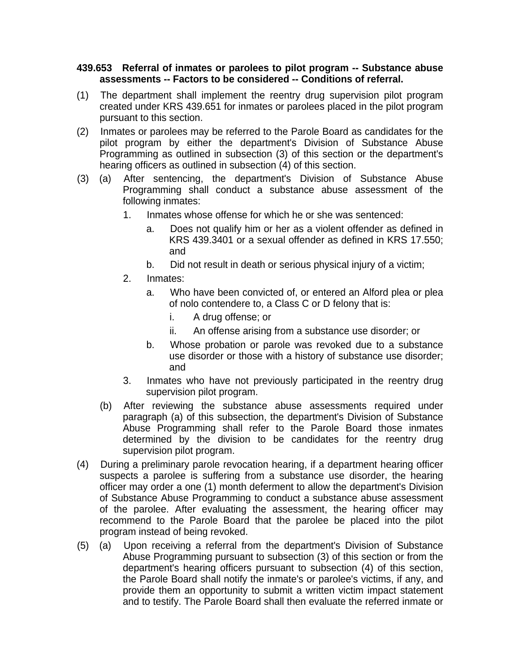## **439.653 Referral of inmates or parolees to pilot program -- Substance abuse assessments -- Factors to be considered -- Conditions of referral.**

- (1) The department shall implement the reentry drug supervision pilot program created under KRS 439.651 for inmates or parolees placed in the pilot program pursuant to this section.
- (2) Inmates or parolees may be referred to the Parole Board as candidates for the pilot program by either the department's Division of Substance Abuse Programming as outlined in subsection (3) of this section or the department's hearing officers as outlined in subsection (4) of this section.
- (3) (a) After sentencing, the department's Division of Substance Abuse Programming shall conduct a substance abuse assessment of the following inmates:
	- 1. Inmates whose offense for which he or she was sentenced:
		- a. Does not qualify him or her as a violent offender as defined in KRS 439.3401 or a sexual offender as defined in KRS 17.550; and
		- b. Did not result in death or serious physical injury of a victim;
	- 2. Inmates:
		- a. Who have been convicted of, or entered an Alford plea or plea of nolo contendere to, a Class C or D felony that is:
			- i. A drug offense; or
			- ii. An offense arising from a substance use disorder; or
		- b. Whose probation or parole was revoked due to a substance use disorder or those with a history of substance use disorder; and
	- 3. Inmates who have not previously participated in the reentry drug supervision pilot program.
	- (b) After reviewing the substance abuse assessments required under paragraph (a) of this subsection, the department's Division of Substance Abuse Programming shall refer to the Parole Board those inmates determined by the division to be candidates for the reentry drug supervision pilot program.
- (4) During a preliminary parole revocation hearing, if a department hearing officer suspects a parolee is suffering from a substance use disorder, the hearing officer may order a one (1) month deferment to allow the department's Division of Substance Abuse Programming to conduct a substance abuse assessment of the parolee. After evaluating the assessment, the hearing officer may recommend to the Parole Board that the parolee be placed into the pilot program instead of being revoked.
- (5) (a) Upon receiving a referral from the department's Division of Substance Abuse Programming pursuant to subsection (3) of this section or from the department's hearing officers pursuant to subsection (4) of this section, the Parole Board shall notify the inmate's or parolee's victims, if any, and provide them an opportunity to submit a written victim impact statement and to testify. The Parole Board shall then evaluate the referred inmate or